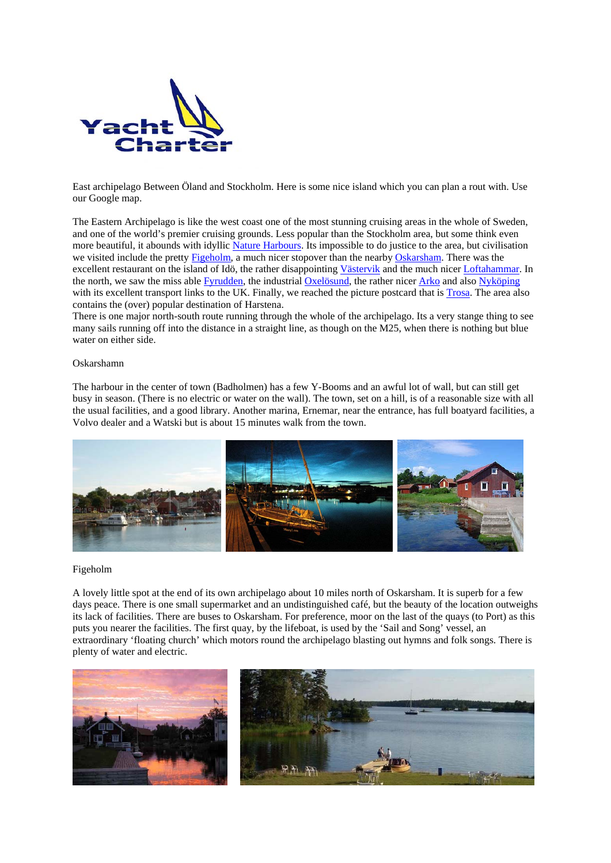<span id="page-0-0"></span>

East archipelago Between Öland and Stockholm. Here is some nice island which you can plan a rout with. Use our Google map.

The Eastern Archipelago is like the west coast one of the most stunning cruising areas in the whole of Sweden, and one of the world's premier cruising grounds. Less popular than the Stockholm area, but some think even more beautiful, it abounds with idyllic Nature Harbours. Its impossible to do justice to the area, but civilisation we visited include the pretty [Figeholm,](#page-0-0) a much nicer stopover than the nearby [Oskarsham](#page-0-0). There was the excellent restaurant on the island of Idö, the rather disappointing [Västervik](#page-0-0) and the much nicer [Loftahammar](#page-0-0). In the north, we saw the miss able [Fyrudden,](#page-0-0) the industrial [Oxelösund](#page-0-0), the rather nicer [Arko](#page-0-0) and also [Nyköping](#page-0-0) with its excellent transport links to the UK. Finally, we reached the picture postcard that is [Trosa.](#page-0-0) The area also contains the (over) popular destination of Harstena.

There is one major north-south route running through the whole of the archipelago. Its a very stange thing to see many sails running off into the distance in a straight line, as though on the M25, when there is nothing but blue water on either side.

## Oskarshamn

The harbour in the center of town (Badholmen) has a few Y-Booms and an awful lot of wall, but can still get busy in season. (There is no electric or water on the wall). The town, set on a hill, is of a reasonable size with all the usual facilities, and a good library. Another marina, Ernemar, near the entrance, has full boatyard facilities, a Volvo dealer and a Watski but is about 15 minutes walk from the town.



#### Figeholm

A lovely little spot at the end of its own archipelago about 10 miles north of Oskarsham. It is superb for a few days peace. There is one small supermarket and an undistinguished café, but the beauty of the location outweighs its lack of facilities. There are buses to Oskarsham. For preference, moor on the last of the quays (to Port) as this puts you nearer the facilities. The first quay, by the lifeboat, is used by the 'Sail and Song' vessel, an extraordinary 'floating church' which motors round the archipelago blasting out hymns and folk songs. There is plenty of water and electric.

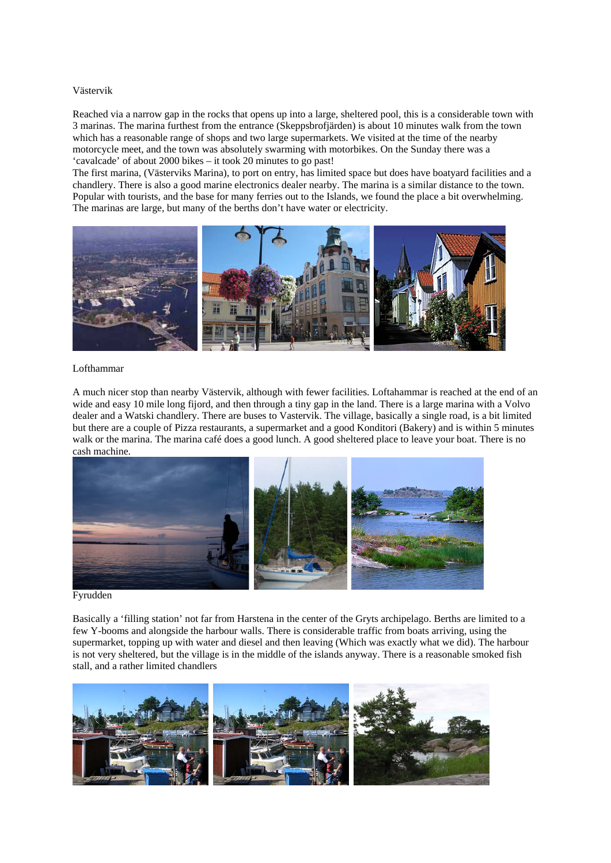## Västervik

Reached via a narrow gap in the rocks that opens up into a large, sheltered pool, this is a considerable town with 3 marinas. The marina furthest from the entrance (Skeppsbrofjärden) is about 10 minutes walk from the town which has a reasonable range of shops and two large supermarkets. We visited at the time of the nearby motorcycle meet, and the town was absolutely swarming with motorbikes. On the Sunday there was a 'cavalcade' of about 2000 bikes – it took 20 minutes to go past!

The first marina, (Västerviks Marina), to port on entry, has limited space but does have boatyard facilities and a chandlery. There is also a good marine electronics dealer nearby. The marina is a similar distance to the town. Popular with tourists, and the base for many ferries out to the Islands, we found the place a bit overwhelming. The marinas are large, but many of the berths don't have water or electricity.



### Lofthammar

A much nicer stop than nearby Västervik, although with fewer facilities. Loftahammar is reached at the end of an wide and easy 10 mile long fijord, and then through a tiny gap in the land. There is a large marina with a Volvo dealer and a Watski chandlery. There are buses to Vastervik. The village, basically a single road, is a bit limited but there are a couple of Pizza restaurants, a supermarket and a good Konditori (Bakery) and is within 5 minutes walk or the marina. The marina café does a good lunch. A good sheltered place to leave your boat. There is no cash machine.



Fyrudden

Basically a 'filling station' not far from Harstena in the center of the Gryts archipelago. Berths are limited to a few Y-booms and alongside the harbour walls. There is considerable traffic from boats arriving, using the supermarket, topping up with water and diesel and then leaving (Which was exactly what we did). The harbour is not very sheltered, but the village is in the middle of the islands anyway. There is a reasonable smoked fish stall, and a rather limited chandlers

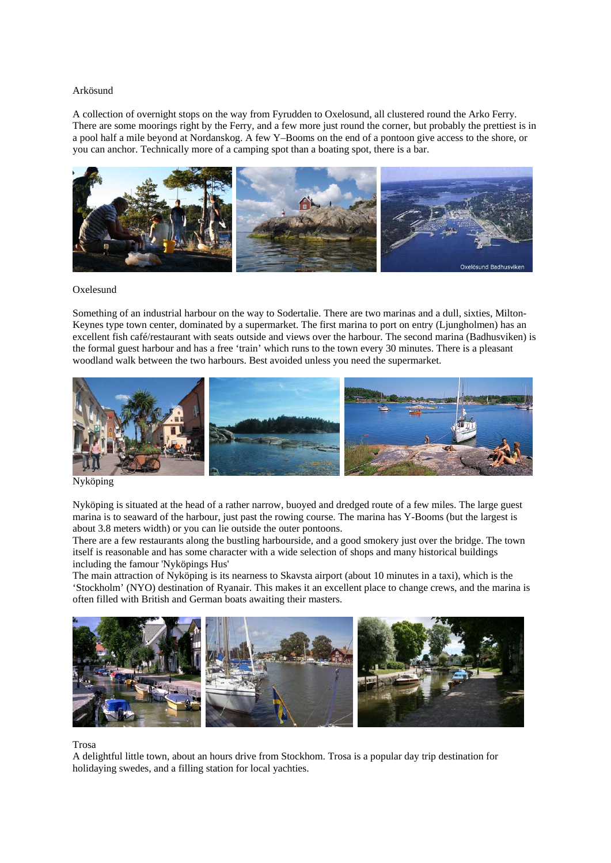# Arkösund

A collection of overnight stops on the way from Fyrudden to Oxelosund, all clustered round the Arko Ferry. There are some moorings right by the Ferry, and a few more just round the corner, but probably the prettiest is in a pool half a mile beyond at Nordanskog. A few Y–Booms on the end of a pontoon give access to the shore, or you can anchor. Technically more of a camping spot than a boating spot, there is a bar.



#### Oxelesund

Something of an industrial harbour on the way to Sodertalie. There are two marinas and a dull, sixties, Milton-Keynes type town center, dominated by a supermarket. The first marina to port on entry (Ljungholmen) has an excellent fish café/restaurant with seats outside and views over the harbour. The second marina (Badhusviken) is the formal guest harbour and has a free 'train' which runs to the town every 30 minutes. There is a pleasant woodland walk between the two harbours. Best avoided unless you need the supermarket.



Nyköping

Nyköping is situated at the head of a rather narrow, buoyed and dredged route of a few miles. The large guest marina is to seaward of the harbour, just past the rowing course. The marina has Y-Booms (but the largest is about 3.8 meters width) or you can lie outside the outer pontoons.

There are a few restaurants along the bustling harbourside, and a good smokery just over the bridge. The town itself is reasonable and has some character with a wide selection of shops and many historical buildings including the famour 'Nyköpings Hus'

The main attraction of Nyköping is its nearness to Skavsta airport (about 10 minutes in a taxi), which is the 'Stockholm' (NYO) destination of Ryanair. This makes it an excellent place to change crews, and the marina is often filled with British and German boats awaiting their masters.



#### Trosa

A delightful little town, about an hours drive from Stockhom. Trosa is a popular day trip destination for holidaying swedes, and a filling station for local yachties.